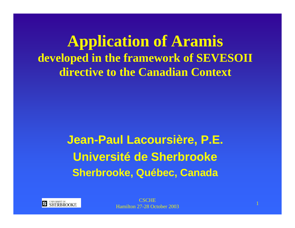**Application of Aramis developed in the framework of SEVESOII directive to the Canadian Context**

> **Jean-Paul Lacoursière, P.E. Université de Sherbrooke Sherbrooke, Québec, Canada**

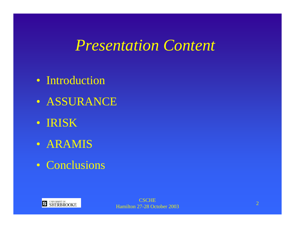#### *Presentation Content*

- Introduction
- ASSURANCE
- IRISK
- ARAMIS
- Conclusions

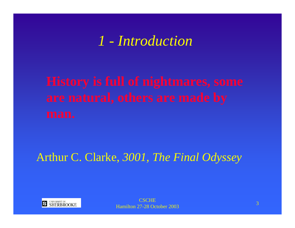#### *1 - Introduction*

#### Arthur C. Clarke, *3001, The Final Odyssey*

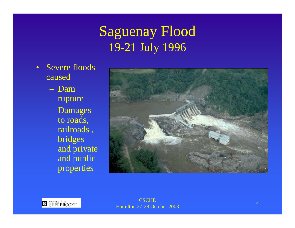#### Saguenay Flood 19-21 July 1996

- Severe floodscaused
	- Damrupture
	- Damages to roads, railroads , bridges and private and public properties

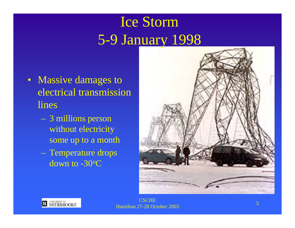# Ice Storm 5-9 January 1998

- Massive damages to electrical transmission lines
	- 3 millions person without electricity some up to a month
	- Temperature drops down to -30oC



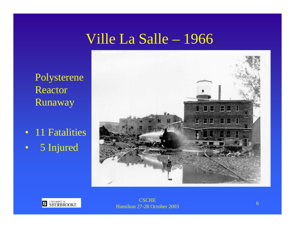## Ville La Salle – 1966

Polysterene Reactor Runaway

• 11 Fatalities •5 Injured



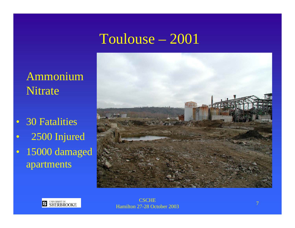## Toulouse – 2001

#### Ammonium Nitrate

- 30 Fatalities
- •2500 Injured
- 15000 damaged apartments

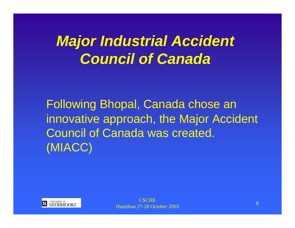# *Major Industrial Accident Council of Canada*

Following Bhopal, Canada chose an innovative approach, the Major Accident Council of Canada was created. (MIACC)

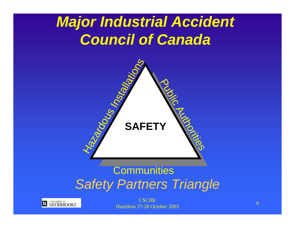# *Major Industrial Accident Council of Canada*



#### *Safety Partners Triangle* **Communities**



**CSCHE** Hamilton 27-28 October 2003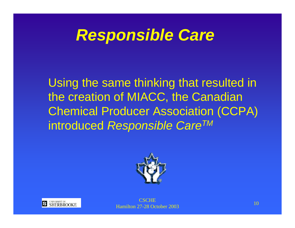# *Responsible Care*

Using the same thinking that resulted in the creation of MIACC, the Canadian Chemical Producer Association (CCPA) introduced *Responsible CareTM*





**CSCHE** Hamilton 27-28 October 2003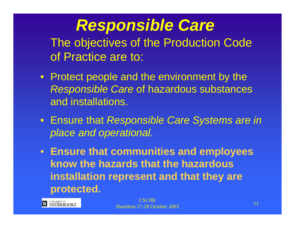*Responsible Care* The objectives of the Production Code of Practice are to:

- Protect people and the environment by the *Responsible Care* of hazardous substances and installations.
- Ensure that *Responsible Care Systems are in place and operational.*
- **Ensure that communities and employees know the hazards that the hazardous installation represent and that they are protected.**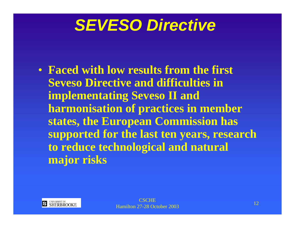# *SEVESO Directive*

• **Faced with low results from the first Seveso Directive and difficulties in implementating Seveso II and harmonisation of practices in member states, the European Commission has supported for the last ten years, research to reduce technological and natural major risks**

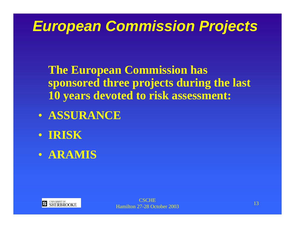# *European Commission Projects*

**The European Commission has sponsored three projects during the last 10 years devoted to risk assessment:**

- **ASSURANCE**
- **IRISK**
- **ARAMIS**

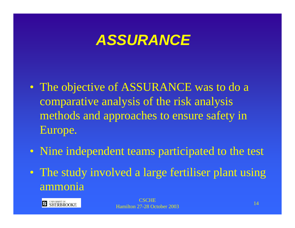- The objective of ASSURANCE was to do a comparative analysis of the risk analysis methods and approaches to ensure safety in Europe.
- Nine independent teams participated to the test
- The study involved a large fertiliser plant using ammonia

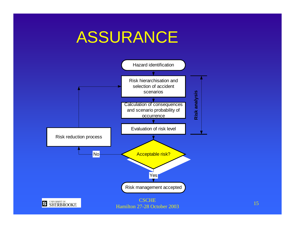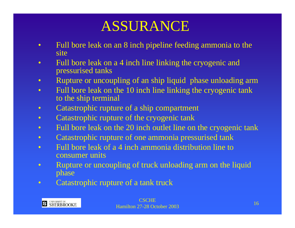- • Full bore leak on an 8 inch pipeline feeding ammonia to the site
- • Full bore leak on a 4 inch line linking the cryogenic and pressurised tanks
- •Rupture or uncoupling of an ship liquid phase unloading arm
- $\bullet$  Full bore leak on the 10 inch line linking the cryogenic tank to the ship terminal
- •Catastrophic rupture of a ship compartment
- $\bullet$ Catastrophic rupture of the cryogenic tank
- $\bullet$ Full bore leak on the 20 inch outlet line on the cryogenic tank
- $\bullet$ Catastrophic rupture of one ammonia pressurised tank
- $\bullet$  Full bore leak of a 4 inch ammonia distribution line to consumer units
- $\bullet$  Rupture or uncoupling of truck unloading arm on the liquid phase
- $\bullet$ Catastrophic rupture of a tank truck

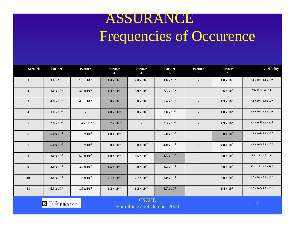### ASSURANCE Frequencies of Occurence

| Scenario                | <b>Partner</b><br>$\mathbf{1}$ | <b>Partner</b><br>$\overline{2}$ | <b>Partner</b><br>3 <sup>1</sup> | <b>Partner</b><br>$\overline{4}$ | <b>Partner</b><br>5 <sup>5</sup> | <b>Partner</b><br>6 | <b>Partner</b><br>$7\phantom{0}$ | Variability                                   |
|-------------------------|--------------------------------|----------------------------------|----------------------------------|----------------------------------|----------------------------------|---------------------|----------------------------------|-----------------------------------------------|
| $\mathbf{1}$            | $9.0 \times 10^{-7}$           | $1.0 \times 10^{-6}$             | $1.4 \times 10^{-5}$             | $9.0 \times 10^{-7}$             | $1.0 \times 10^{-6}$             |                     | $1.8 \times 10^{-7}$             | $1.8 \times 10^{-7}$ - 1.4 x 10-5             |
| $\overline{2}$          | $1.0 \times 10^{-5}$           | $3.0 \times 10^{-6}$             | $1.4 \times 10^{-5}$             | $9.0 \times 10^{-7}$             | $7.3 \times 10^{-7}$             |                     | $4.6 \times 10^{-6}$             | $7.3x$ 10-7-1.4 x 10-5                        |
| $\mathbf{3}$            | $4.8 \times 10^{-4}$           | $4.8 \times 10^{-6}$             | $8.0 \times 10^{-3}$             | $5.0 \times 10^{-3}$             | 5.4 x $10^{-5}$                  | $\blacksquare$      | $1.3 \times 10^{-5}$             | $4.8 \times 10^{-7}$ - 8.0 x 10 <sup>-3</sup> |
| $\overline{\mathbf{4}}$ | $1.0 \times 10^{-6}$           |                                  | $4.0 \times 10^{-6}$             | $9.0 \times 10^{-7}$             | $8.0 \times 10^{-7}$             |                     | $1.8 \times 10^{-6}$             | $8.0 \times 10^{-7}$ - 4.6 x 10 <sup>-6</sup> |
| $\overline{5}$          | $2.8 \times 10^{-7}$           | 6.4 x $10^{-10}$                 | 5.7 x $10^{-5}$                  |                                  | $2.3 \times 10^{-6}$             |                     | $4.9 \times 10^{-6}$             | 6.4 x 10-10-5.7 x 10-5                        |
| 6                       | $5.0 \times 10^{-7}$           | $1.0 \times 10^{-8}$             | $4.0 \times 10^{-8}$             | $\blacksquare$                   | $5.0 \times 10^{-8}$             | $\blacksquare$      | $5.0 \times 10^{-7}$             | $1.0 \times 10^{-8}$ - 5.0 x 10 <sup>-7</sup> |
| $7\phantom{.0}$         | $6.0 \times 10^{-6}$           | $1.0 \times 10^{-6}$             | $5.0 \times 10^{-6}$             | $9.0 \times 10^{-7}$             | $4.0 \times 10^{-7}$             | $\blacksquare$      | $4.0 \times 10^{-7}$             | $4.0 \times 10^{-7}$ - 6.0 x 10 <sup>-6</sup> |
| 8                       | $1.0 \times 10^{-6}$           | $5.0 \times 10^{-7}$             | $1.0 \times 10^{-6}$             | $4.5 \times 10^{-7}$             | $1.3 \times 10^{-5}$             | $\blacksquare$      | $4.0 \times 10^{-7}$             | $4.5 \times 10^{-7}$ - 1.3x 10-3              |
| 9                       | $3.0 \times 10^{-6}$           | $3.4 \times 10^{-7}$             | $1.5 \times 10^{-5}$             | $9.0 \times 10^{-7}$             | $2.2 \times 10^{-6}$             | $\blacksquare$      | $8.0 \times 10^{-7}$             | 13.4x 10-7-1.5 x 10-5                         |
| <b>10</b>               | $2.4 \times 10^{-6}$           | $1.5 \times 10^{-7}$             | $2.1 \times 10^{-3}$             | $2.7 \times 10^{-6}$             | $6.0 \times 10^{-6}$             |                     | $5.0 \times 10^{-7}$             | $1.5 \times 10^{-7}$ - $2.1 \times 10^{-3}$   |
| 11                      | $5.5 \times 10^{-9}$           | $1.5 \times 10^{-9}$             | $1.2 \times 10^{-7}$             | $1.2 \times 10^{-7}$             | $4.7 \times 10^{-6}$             | $\blacksquare$      | $1.4 \times 10^{-8}$             | $1.5 \times 10^{-9}$ - 4.7 x 10 <sup>-6</sup> |
|                         |                                |                                  |                                  |                                  |                                  |                     |                                  |                                               |



CSCHEHamilton 27-28 October 2003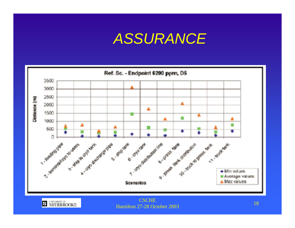

Hamilton 27-28 October 2003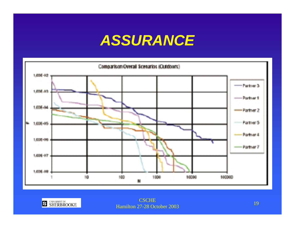

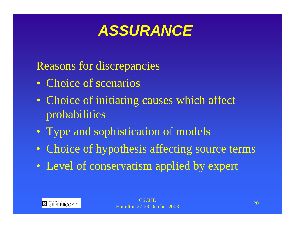Reasons for discrepancies

- Choice of scenarios
- Choice of initiating causes which affect probabilities
- Type and sophistication of models
- Choice of hypothesis affecting source terms
- Level of conservatism applied by expert

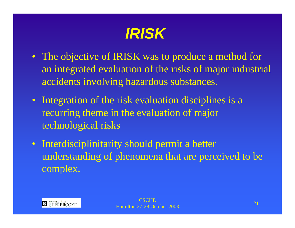

- The objective of IRISK was to produce a method for an integrated evaluation of the risks of major industrial accidents involving hazardous substances.
- Integration of the risk evaluation disciplines is a recurring theme in the evaluation of major technological risks
- Interdisciplinitarity should permit a better understanding of phenomena that are perceived to be complex.

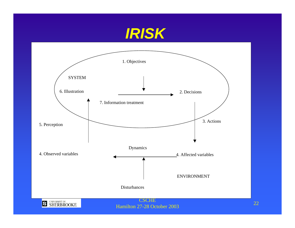

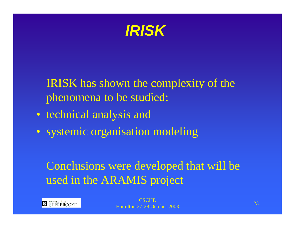

IRISK has shown the complexity of the phenomena to be studied:

- technical analysis and
- systemic organisation modeling

#### Conclusions were developed that will be used in the ARAMIS project

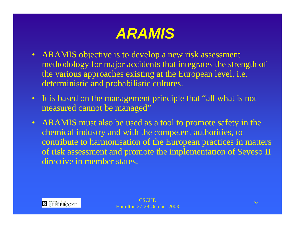- ARAMIS objective is to develop a new risk assessment methodology for major accidents that integrates the strength of the various approaches existing at the European level, i.e. deterministic and probabilistic cultures.
- It is based on the management principle that "all what is not measured cannot be managed"
- ARAMIS must also be used as a tool to promote safety in the chemical industry and with the competent authorities, to contribute to harmonisation of the European practices in matters of risk assessment and promote the implementation of Seveso II directive in member states.

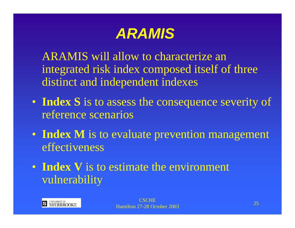ARAMIS will allow to characterize anintegrated risk index composed itself of three distinct and independent indexes

- **Index S** is to assess the consequence severity of reference scenarios
- **Index M** is to evaluate prevention management effectiveness
- **Index V** is to estimate the environment vulnerability

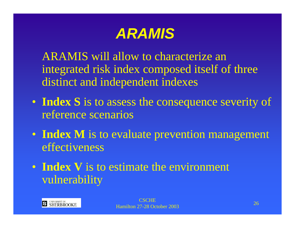ARAMIS will allow to characterize anintegrated risk index composed itself of three distinct and independent indexes

- **Index S** is to assess the consequence severity of reference scenarios
- **Index M** is to evaluate prevention management effectiveness
- **Index V** is to estimate the environment vulnerability

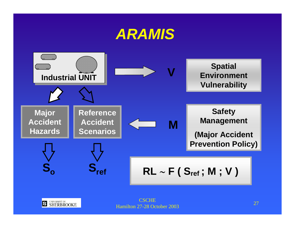

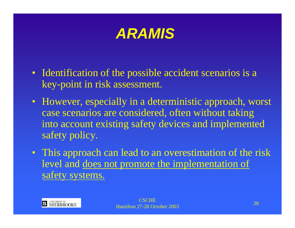- Identification of the possible accident scenarios is a key-point in risk assessment.
- However, especially in a deterministic approach, worst case scenarios are considered, often without taking into account existing safety devices and implemented safety policy.
- This approach can lead to an overestimation of the risk level and does not promote the implementation of safety systems.

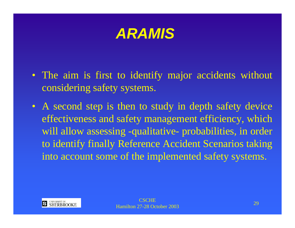

- The aim is first to identify major accidents without considering safety systems.
- A second step is then to study in depth safety device effectiveness and safety management efficiency, which will allow assessing -qualitative- probabilities, in order to identify finally Reference Accident Scenarios taking into account some of the implemented safety systems.

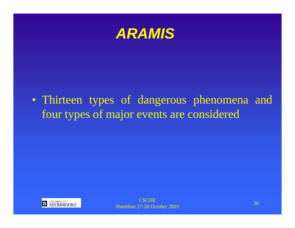

• Thirteen types of dangerous phenomena and four types of major events are considered

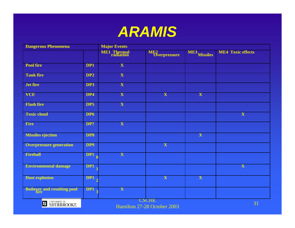

| <b>Dangerous Phenomena</b>         |                 | <b>Major Events</b>             |                                             |              |                          |  |  |  |
|------------------------------------|-----------------|---------------------------------|---------------------------------------------|--------------|--------------------------|--|--|--|
|                                    |                 | <b>ME1</b> Thermal<br>radiation | ME <sub>2</sub><br>Overpressure             | ME3 Missiles | <b>ME4 Toxic effects</b> |  |  |  |
|                                    |                 |                                 |                                             |              |                          |  |  |  |
| <b>Pool</b> fire                   | DP1             | $\mathbf{X}$                    |                                             |              |                          |  |  |  |
| <b>Tank fire</b>                   | DP <sub>2</sub> | X                               |                                             |              |                          |  |  |  |
| Jet fire                           | DP3             | X                               |                                             |              |                          |  |  |  |
| <b>VCE</b>                         | DP4             | X                               | X                                           | X            |                          |  |  |  |
| <b>Flash fire</b>                  | DP5             | X                               |                                             |              |                          |  |  |  |
| <b>Toxic cloud</b>                 | DP <sub>6</sub> |                                 |                                             |              | $\overline{\mathbf{X}}$  |  |  |  |
| Fire                               | DP7             | X                               |                                             |              |                          |  |  |  |
| <b>Missiles ejection</b>           | DP8             |                                 |                                             | X            |                          |  |  |  |
| <b>Overpressure generation</b>     | DP9             |                                 | $\mathbf X$                                 |              |                          |  |  |  |
| <b>Fireball</b>                    | DP1             | $\overline{\mathbf{X}}$         |                                             |              |                          |  |  |  |
| <b>Environmental damage</b>        | DP1             |                                 |                                             |              | $\overline{\mathbf{X}}$  |  |  |  |
| <b>Dust explosion</b>              | DP1             |                                 | $\overline{\mathbf{X}}$                     | X            |                          |  |  |  |
| <b>Boiloyer and resulting pool</b> | DP1             | $\mathbf X$                     |                                             |              |                          |  |  |  |
| <b>S</b> UNIVERSITÉ DE SHERBROOKE  |                 |                                 | <b>CSCHE</b><br>Hamilton 27-28 October 2003 |              | 31                       |  |  |  |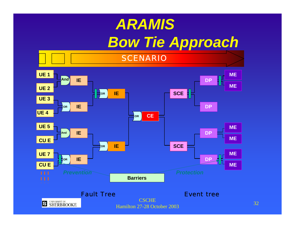# *ARAMIS Bow Tie Approach*

SCENARIO

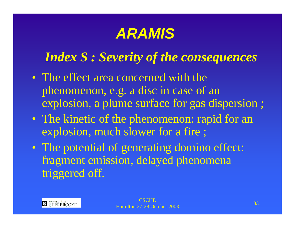#### *Index S : Severity of the consequences*

- The effect area concerned with the phenomenon, e.g. a disc in case of an explosion, a plume surface for gas dispersion ;
- The kinetic of the phenomenon: rapid for an explosion, much slower for a fire ;
- The potential of generating domino effect: fragment emission, delayed phenomena triggered off.

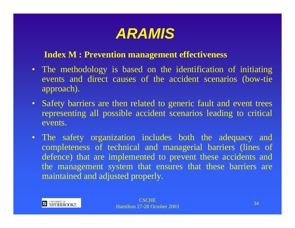

#### **Index M : Prevention management effectiveness**

- The methodology is based on the identification of initiating events and direct causes of the accident scenarios (bow-tie approach).
- Safety barriers are then related to generic fault and event trees representing all possible accident scenarios leading to critical events.
- The safety organization includes both the adequacy and completeness of technical and managerial barriers (lines of defence) that are implemented to prevent these accidents and the management system that ensures that these barriers are maintained and adjusted properly.

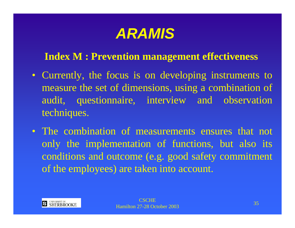#### **Index M : Prevention management effectiveness**

- Currently, the focus is on developing instruments to measure the set of dimensions, using a combination of audit, questionnaire, interview and observation techniques.
- The combination of measurements ensures that not only the implementation of functions, but also its conditions and outcome (e.g. good safety commitment of the employees) are taken into account.

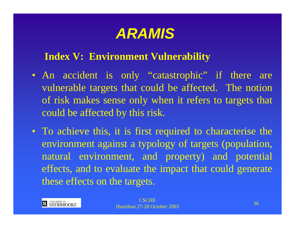#### **Index V: Environment Vulnerability**

- An accident is only "catastrophic" if there are vulnerable targets that could be affected. The notion of risk makes sense only when it refers to targets that could be affected by this risk.
- To achieve this, it is first required to characterise the environment against a typology of targets (population, natural environment, and property) and potential effects, and to evaluate the impact that could generate these effects on the targets.